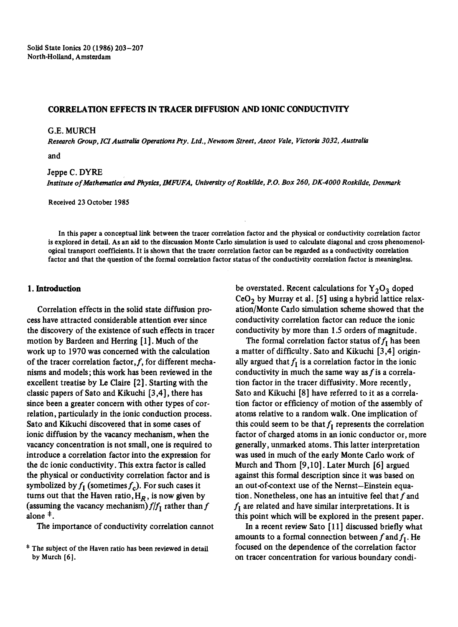### CORRELATION EFFECTS IN TRACER DIFFUSION AND IONIC CONDUCTIVITY

#### G.E. MURCH

*Research Group, ICI Australia Operations Pry. Ltd., Newsom Street, Ascot Vale, Victoria 3032, Australia* 

*and* 

# Jeppe C. DYRE

*Institute of Mathematics and Physics, 1MFUFA, University of Roskilde, P.O. Box 260, DK-4000 Roskilde, Denmark* 

Received 23 October 1985

In this paper a conceptual link between the tracer correlation factor and the physical or conductivity correlation factor is explored in detail. As an aid to the discussion Monte Carlo simulation is used to calculate diagonal and cross phenomenologieal transport coefficients. It is shown that the tracer correlation factor can be regarded as a conductivity correlation factor and that the question of the formal correlation factor status of the conductivity correlation factor is meaningless.

### **1. Introduction**

Correlation effects in the solid state diffusion process have attracted considerable attention ever since the discovery of the existence of such effects in tracer motion by Bardeen and Herring [1]. Much of the work up to 1970 was concerned with the calculation of the tracer correlation factor,  $f$ , for different mechanisms and models; this work has been reviewed in the excellent treatise by Le Claire [2]. Starting with the classic papers of Sate and Kikuchi [3,4], there has since been a greater concern with other types of correlation, particularly in the ionic conduction process. Sato and Kikuchi discovered that in some cases of ionic diffusion by the vacancy mechanism, when the vacancy concentration is not small, one is required to introduce a correlation factor into the expression for the dc ionic conductivity. This extra factor is called the physical or conductivity correlation factor and is symbolized by  $f_I$  (sometimes  $f_c$ ). For such cases it turns out that the Haven ratio,  $H_R$ , is now given by (assuming the vacancy mechanism)  $f/f_I$  rather than f alone  $<sup>‡</sup>$ .</sup>

The importance of conductivity correlation cannot

be overstated. Recent calculations for  $Y_2O_3$  doped  $CeO<sub>2</sub>$  by Murray et al. [5] using a hybrid lattice relaxation/Monte Carlo simulation scheme showed that the conductivity correlation factor can reduce the ionic conductivity by more than 1.5 orders of magnitude.

The formal correlation factor status of  $f_I$  has been a matter of difficulty. Sate and Kikuchi [3,4] originally argued that  $f_I$  is a correlation factor in the ionic conductivity in much the same way as  $f$  is a correlation factor in the tracer diffusivity. More recently, Sato and Kikuchi [8] have referred to it as a correlation factor or efficiency of motion of the assembly of atoms relative to a random walk. One implication of this could seem to be that  $f<sub>I</sub>$  represents the correlation factor of charged atoms in an ionic conductor or, more generally, unmarked atoms. This latter interpretation was used in much of the early Monte Carlo work of Murch and Thorn [9,10]. Later Murch [6] argued against this formal description since it was based on an out-of-context use of the Nernst-Einstein equation. Nonetheless, one has an intuitive feel that  $f$  and  $f<sub>I</sub>$  are related and have similar interpretations. It is this point which will be explored in the present paper.

In a recent review Sato [11] discussed briefly what amounts to a formal connection between f and  $f_1$ . He focused on the dependence of the correlation factor on tracer concentration for various boundary condi-

**<sup>\*</sup>** The subject of the Haven ratio has been reviewed in detail by Murch [6].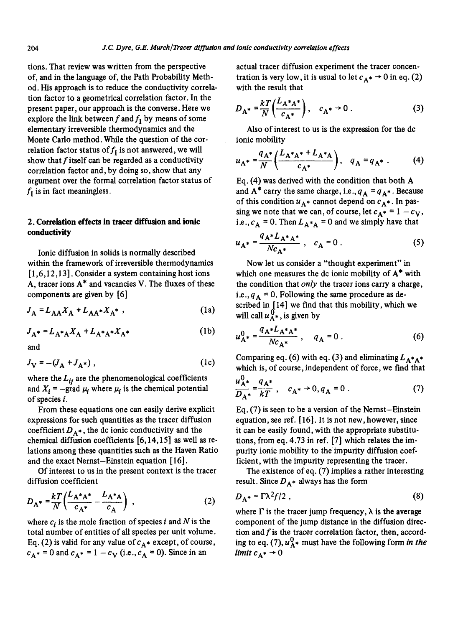tions. That review was written from the perspective of, and in the language of, the Path Probability Method. His approach is to reduce the conductivity correlation factor to a geometrical correlation factor. In the present paper, our approach is the converse. Here we explore the link between f and  $f_1$  by means of some elementary irreversible thermodynamics and the Monte Carlo method. While the question of the correlation factor status of  $f_I$  is not answered, we will show that  $f$  itself can be regarded as a conductivity correlation factor and, by doing so, show that any argument over the formal correlation factor status of  $f_I$  is in fact meaningless.

### **2. Correlation effects in tracer diffusion and ionic**  conductivity

Ionic diffusion in solids is normally described within the framework of irreversible thermodynamics  $[1,6,12,13]$ . Consider a system containing host ions A, tracer ions A\* and vacancies V. The fluxes of these components are given by [6]

$$
J_A = L_{AA} X_A + L_{AA} * X_{A} * ,
$$
 (1a)

$$
J_{A^*} = L_{A^*A} X_A + L_{A^*A^*} X_{A^*}
$$
 (1b)

and

$$
J_V = -(J_A + J_{A^*}) , \t\t(1c)
$$

where the  $L_{ij}$  are the phenomenological coefficients and  $X_i$  = -grad  $\mu_i$  where  $\mu_i$  is the chemical potential of species i.

From these equations one can easily derive explicit expressions for such quantities as the tracer diffusion coefficient  $D_{A^*}$ , the dc ionic conductivity and the chemical diffusion coefficients [6,14,15] as well as relations among these quantities such as the Haven Ratio and the exact Nernst-Einstein equation [ 16].

Of interest to us in the present context is the tracer diffusion coefficient

$$
D_{A^*} = \frac{kT}{N} \left( \frac{L_{A^*A^*}}{c_{A^*}} - \frac{L_{A^*A}}{c_A} \right) ,
$$
 (2)

where  $c_i$  is the mole fraction of species i and N is the total number of entities of all species per unit volume. Eq. (2) is valid for any value of  $c_{A^*}$  except, of course,  $c_{A^*} = 0$  and  $c_{A^*} = 1 - c_{V}$  (i.e.,  $c_{A} = 0$ ). Since in an

actual tracer diffusion experiment the tracer concentration is very low, it is usual to let  $c<sub>A</sub> \rightarrow 0$  in eq. (2) with the result that

$$
D_{A^*} = \frac{kT}{N} \left( \frac{L_{A^*A^*}}{c_{A^*}} \right), \quad c_{A^*} \to 0 \tag{3}
$$

Also of interest to us is the expression for the dc ionic mobility

$$
u_{A^*} = \frac{q_{A^*}}{N} \left( \frac{L_{A^*A^*} + L_{A^*A}}{c_{A^*}} \right), \quad q_A = q_{A^*} \ . \tag{4}
$$

Eq. (4) was derived with the condition that both A and  $A^*$  carry the same charge, i.e.,  $q_A = q_{A^*}$ . Because of this condition  $u_{A^*}$  cannot depend on  $c_{A^*}$ . In passing we note that we can, of course, let  $c_{A^*} = 1 - c_V$ , i.e.,  $c_A = 0$ . Then  $L_{A^*A} = 0$  and we simply have that

$$
u_{A^*} = \frac{q_{A^*} L_{A^* A^*}}{N c_{A^*}} , \quad c_A = 0 .
$$
 (5)

Now let us consider a "thought experiment" in which one measures the dc ionic mobility of A\* with the condition that *only the* tracer ions carry a charge, i.e.,  $q_A = 0$ . Following the same procedure as described in  $[14]$  we find that this mobility, which we will call  $u_{A^*}^0$ , is given by

$$
u_{A^*}^0 = \frac{q_A * L_{A^*A^*}}{N c_{A^*}} \,, \quad q_A = 0 \,. \tag{6}
$$

Comparing eq. (6) with eq. (3) and eliminating  $L_{A^*A^*}$ which is, of course, independent of force, we find that

$$
\frac{u_{A^*}^0}{D_{A^*}} = \frac{q_{A^*}}{kT}, \quad c_{A^*} \to 0, q_A = 0.
$$
 (7)

Eq. (7) is seen to be a version of the Nemst-Einstein equation, see ref. [16]. It is not new, however, since it can be easily found, with the appropriate substitutions, from eq. 4.73 in ref. [7] which relates the impurity ionic mobility to the impurity diffusion coefficient, with the impurity representing the tracer.

The existence of eq. (7) implies a rather interesting result. Since  $D_{A^*}$  always has the form

$$
D_{A^*} = \Gamma \lambda^2 f/2 \tag{8}
$$

where  $\Gamma$  is the tracer jump frequency,  $\lambda$  is the average component of the jump distance in the diffusion direction and  $f$  is the tracer correlation factor, then, according to eq. (7),  $u_{\mathbf{A}^*}^0$  must have the following form *in the limit*  $c_{\Lambda^*} \rightarrow 0$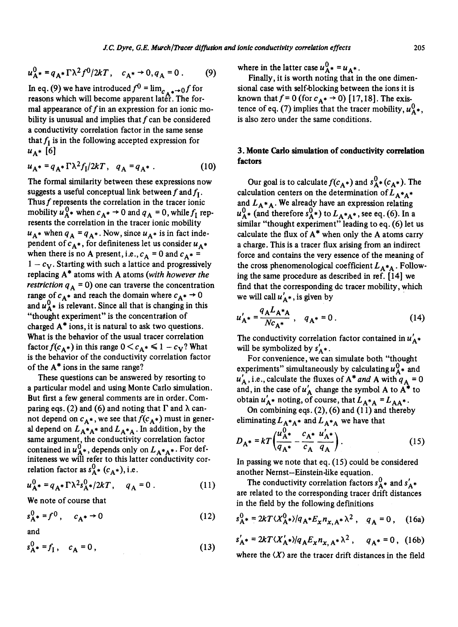$$
u_{A^*}^0 = q_{A^*} \Gamma \lambda^2 f^0 / 2kT, \quad c_{A^*} \to 0, q_A = 0 \ . \tag{9}
$$

In eq. (9) we have introduced  $f^0 = \lim_{\epsilon \to 0} f$  for reasons which will become apparent later. The formal appearance of  $f$  in an expression for an ionic mobility is unusual and implies that  $f$  can be considered a conductivity correlation factor in the same sense that  $f_I$  is in the following accepted expression for  $u_{A^*}$  [6]

$$
u_{A^*} = q_{A^*} \Gamma \lambda^2 f_I / 2kT, \quad q_A = q_{A^*} \ . \tag{10}
$$

The formal similarity between these expressions now suggests a useful conceptual link between f and  $f<sub>1</sub>$ . Thus f represents the correlation in the tracer ionic mobility  $u_{A^*}^0$  when  $c_{A^*} \rightarrow 0$  and  $q_A = 0$ , while  $f_I$  represents the correlation in the tracer ionic mobility  $u_{A^*}$  when  $q_A = q_{A^*}$ . Now, since  $u_{A^*}$  is in fact independent of  $c_{A^*}$ , for definiteness let us consider  $u_{A^*}$ when there is no A present, i.e.,  $c_A = 0$  and  $c_{A^*} =$  $1 - c_V$ . Starting with such a lattice and progressively replacing A\* atoms with A atoms *(with however the restriction*  $q_A = 0$ ) one can traverse the concentration range of  $c_{A^*}$  and reach the domain where  $c_{A^*} \rightarrow 0$ and  $u_A^0$  is relevant. Since all that is changing in this "thought experiment" is the concentration of charged  $A^*$  ions, it is natural to ask two questions. What is the behavior of the usual tracer correlation factor  $f(c_{A^*})$  in this range  $0 < c_{A^*} \le 1 - c_V$ ? What is the behavior of the conductivity correlation factor of the A\* ions in the same range?

These questions can be answered by resorting to a particular model and using Monte Carlo simulation. But first a few general comments are in order. Comparing eqs. (2) and (6) and noting that  $\Gamma$  and  $\lambda$  cannot depend on  $c_{A^*}$ , we see that  $f(c_{A^*})$  must in general depend on  $L_{A^*A^*}$  and  $L_{A^*A}$ . In addition, by the same argument, the conductivity correlation factor contained in  $u_{A^*}^0$ , depends only on  $L_{A^*A^*}$ . For definiteness we will refer to this latter conductivity correlation factor as  $s_A^0$  ( $c_A$ ), i.e.

$$
u_{A^*}^0 = q_{A^*} \Gamma \lambda^2 s_A^0 / 2kT, \quad q_A = 0.
$$
 (11)

We note of course that

$$
s_{A^{*}}^{0} = f^{0}, \quad c_{A^{*}} \to 0 \tag{12}
$$

and

 $s_{\mathbf{A}^*}^0 = f_{\mathbf{I}}^{\dagger}, \quad c_{\mathbf{A}}^0 = 0,$  (13)

where in the latter case  $u_{\Delta^*}^0 = u_{\Delta^*}$ .

Finally, it is worth noting that in the one dimensional case with self-blocking between the ions it is known that  $f = 0$  (for  $c<sub>A</sub> \rightarrow 0$ ) [17,18]. The existence of eq. (7) implies that the tracer mobility,  $u_{\lambda}^{0}$ , is also zero under the same conditions.

## **3. Monte Carlo simulation of conductivity correlation factors**

Our goal is to calculate  $f(c_A^*)$  and  $s_A^0$  ( $c_A^*$ ). The calculation centers on the determination of  $L_{A^*A^*}$ and  $L_{A^*A}$ . We already have an expression relating  $u_{A^*}^0$  (and therefore  $s_{A^*}^0$ ) to  $L_{A^*A^*}$ , see eq. (6). In a similar "thought experiment" leading to eq. (6) let us calculate the flux of  $A^*$  when only the A atoms carry a charge. This is a tracer flux arising from an indirect force and contains the very essence of the meaning of the cross phenomenological coefficient  $L_{A^*A}$ . Following the same procedure as described in ref. [14] we find that the corresponding dc tracer mobility, which we will call  $u'_{A^*}$ , is given by

$$
u'_{A^*} = \frac{q_A L_{A^*A}}{N c_{A^*}} , \quad q_{A^*} = 0 .
$$
 (14)

The conductivity correlation factor contained in  $u'_{A^*}$ will be symbolized by  $s'_{A^*}$ .

For convenience, we can simulate both "thought experiments" simultaneously by calculating  $u_{A^*}^0$  and  $u'_{A}$ , i.e., calculate the fluxes of  $A^*$  *and* A with  $q_A = 0$ and, in the case of  $u'_{A}$  change the symbol A to  $A^*$  to obtain  $u'_{A^*}$  noting, of course, that  $L_{A^*A} = L_{AA^*}$ .

On combining eqs.  $(2)$ ,  $(6)$  and  $(11)$  and thereby eliminating  $L_{A^*A^*}$  and  $L_{A^*A}$  we have that

$$
D_{\mathbf{A}^*} = kT \left( \frac{u_{\mathbf{A}^*}^0}{q_{\mathbf{A}^*}} - \frac{c_{\mathbf{A}^*}}{c_{\mathbf{A}}} \frac{u_{\mathbf{A}^*}'}{q_{\mathbf{A}}} \right).
$$
 (15)

In passing we note that eq. (15) could be considered another Nemst-Einstein-like equation.

The conductivity correlation factors  $s_A^0$  and  $s_A^{\prime}$  and  $s_A^{\prime}$ are related to the corresponding tracer drift distances in the field by the following definitions

$$
s_{A^{*}}^{0} = 2kT \langle X_{A^{*}}^{0} \rangle / q_{A^{*}} E_{X} n_{X, A^{*}} \lambda^{2}, \quad q_{A} = 0, \quad (16a)
$$

$$
s'_{A^*} = 2kT \langle X'_{A^*} \rangle / q_A E_x n_{x, A^*} \lambda^2 , \quad q_{A^*} = 0 , \quad (16b)
$$

where the  $\langle X \rangle$  are the tracer drift distances in the field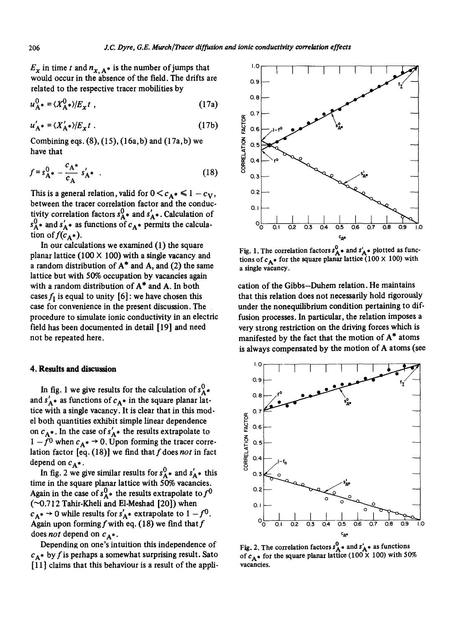$E_x$  in time t and  $n_{x, A^*}$  is the number of jumps that would occur in the absence of the field. The drifts are related to the respective tracer mobilities by

$$
u_{\mathbf{A}^*}^0 = \langle X_{\mathbf{A}^*}^0 \rangle / E_{\mathbf{X}} t \tag{17a}
$$

$$
u'_{\mathbf{A}^*} = \langle X'_{\mathbf{A}^*} \rangle / E_{\mathbf{X}} t \tag{17b}
$$

Combining eqs.  $(8)$ ,  $(15)$ ,  $(16a, b)$  and  $(17a, b)$  we have that

$$
f = s_{\mathbf{A}^*}^0 - \frac{c_{\mathbf{A}^*}}{c_{\mathbf{A}}} s'_{\mathbf{A}^*} \quad . \tag{18}
$$

This is a general relation, valid for  $0 < c<sub>A</sub>$   $\leq 1 - c<sub>V</sub>$ , between the tracer correlation factor and the conductivity correlation factors  $s_A^0$  and  $s_A^{\prime}$ . Calculation of  $s_{\mathbf{A}^*}^0$  and  $s_{\mathbf{A}^*}$  as functions of  $c_{\mathbf{A}^*}$  permits the calculation of  $f(c_{\mathbf{A}}^*)$ .

In our calculations we examined (1) the square planar lattice (100  $\times$  100) with a single vacancy and a random distribution of  $A^*$  and  $A$ , and  $(2)$  the same lattice but with 50% occupation by vacancies again with a random distribution of A\* and A. In both cases  $f_I$  is equal to unity [6]: we have chosen this case for convenience in the present discussion. The procedure to simulate ionic conductivity in an electric field has been documented in detail [19] and need not be repeated here.

### **4. Results and discussion**

In fig. 1 we give results for the calculation of  $s_A^0$ . and  $s'_{A^*}$  as functions of  $c_{A^*}$  in the square planar lattice with a single vacancy. It is clear that in this model both quantifies exhibit simple linear dependence on  $c_{A^*}$ . In the case of  $s'_{A^*}$  the results extrapolate to  $1 - f^0$  when  $c_{\mathbf{A}^*} \to 0$ . Upon forming the tracer correlation factor  $[eq. (18)]$  we find that f does not in fact depend on  $c_{A^*}$ .

In fig. 2 we give similar results for  $s_A^0$  and  $s_A^0$  this time in the square planar lattice with 50% vacancies. Again in the case of  $s_A^0$  the results extrapolate to  $f^0$ (~0.712 Tahir-Kheli and E1-Meshad [20]) when  $c_{A^*} \rightarrow 0$  while results for  $s'_{A^*}$  extrapolate to  $1 - f^0$ . Again upon forming f with eq. (18) we find that  $f$ does *not* depend on  $c_{A^*}$ .

Depending on one's intuition this independence of  $c_{\mathbf{A}}^*$  by f is perhaps a somewhat surprising result. Sato [ 11 ] claims that this behaviour is a result of the appli-



Fig. 1. The correlation factors  $s_A^0$  and  $s_A^*$  plotted as functions of  $c_{\mathbf{A}}^*$  for the square planar lattice (100 × 100) with a single vacancy.

cation of the Gibbs-Duhem relation. He maintains that this relation does not necessarily hold rigorously under the nonequilibrium condition pertaining to diffusion processes. In particular, the relation imposes a very strong restriction on the driving forces which is manifested by the fact that the motion of A\* atoms is always compensated by the motion of A atoms (see



Fig. 2. The correlation factors  $s_A^0$  and  $s_A^{\prime}$  as functions of  $c_{\Delta}$  for the square planar lattice (100 × 100) with 50% vacancies.